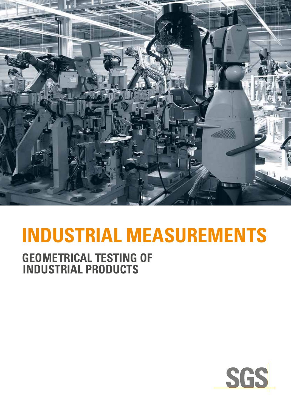

# **Industrial Measurements**

### **Geometrical Testing of Industrial Products**